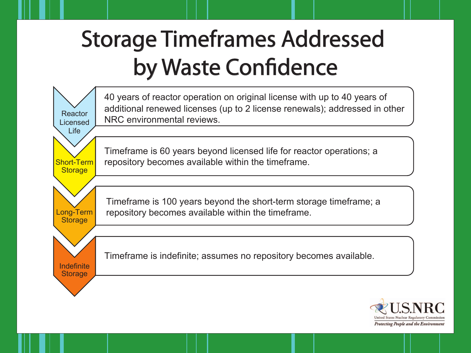## Storage Timeframes Addressed by Waste Confidence

Reactor Licensed Life 40 years of reactor operation on original license with up to 40 years of additional renewed licenses (up to 2 license renewals); addressed in other NRC environmental reviews. Short-Term **Storage** Timeframe is 60 years beyond licensed life for reactor operations; a repository becomes available within the timeframe. Long-Term **Storage** Timeframe is 100 years beyond the short-term storage timeframe; a repository becomes available within the timeframe. Indefinite **Storage** Timeframe is indefinite; assumes no repository becomes available.

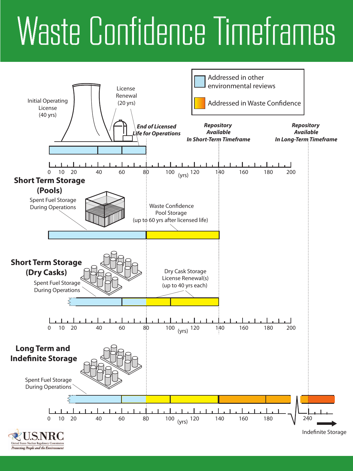

United States Nuclear Regulate Protecting People and the Environment

## Waste Confidence Timeframes